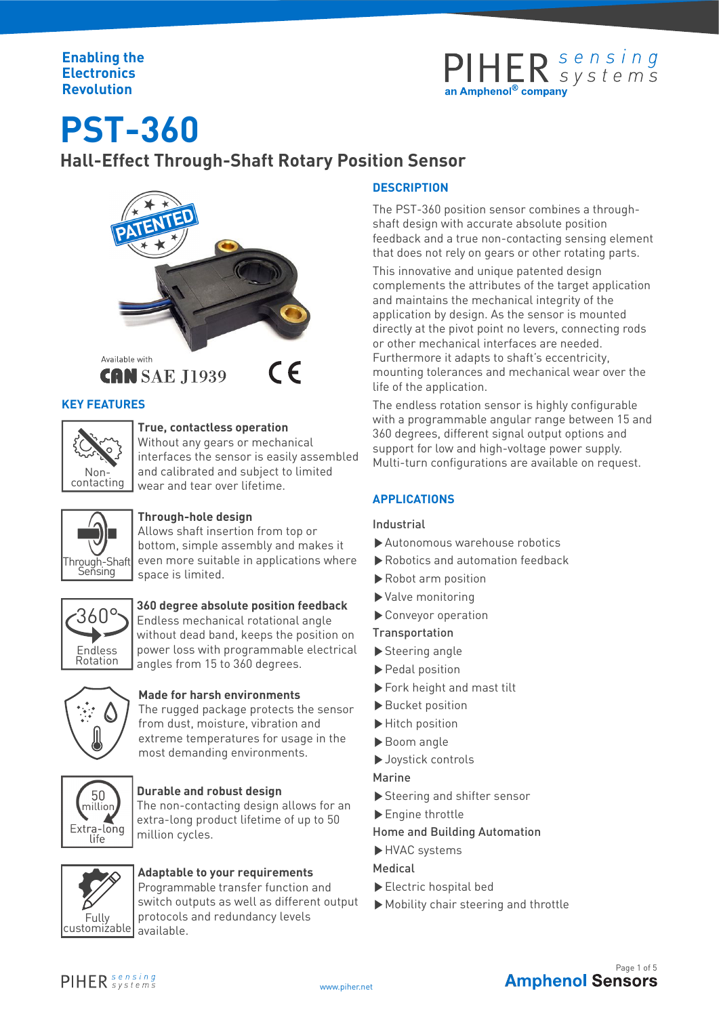### **Enabling the Electronics Revolution**



**PST-360**

**Hall-Effect Through-Shaft Rotary Position Sensor**



### **KEY FEATURES**



### **True, contactless operation**

Without any gears or mechanical interfaces the sensor is easily assembled and calibrated and subject to limited wear and tear over lifetime.



### **Through-hole design**

Allows shaft insertion from top or bottom, simple assembly and makes it even more suitable in applications where space is limited.



### **360 degree absolute position feedback**

360°S Endless mechanical rotational angle without dead band, keeps the position on power loss with programmable electrical angles from 15 to 360 degrees.



### **Made for harsh environments**

The rugged package protects the sensor from dust, moisture, vibration and extreme temperatures for usage in the most demanding environments.



### **Durable and robust design**

The non-contacting design allows for an extra-long product lifetime of up to 50 million cycles.



### **Adaptable to your requirements**

Programmable transfer function and switch outputs as well as different output protocols and redundancy levels

### **DESCRIPTION**

The PST-360 position sensor combines a throughshaft design with accurate absolute position feedback and a true non-contacting sensing element that does not rely on gears or other rotating parts.

This innovative and unique patented design complements the attributes of the target application and maintains the mechanical integrity of the application by design. As the sensor is mounted directly at the pivot point no levers, connecting rods or other mechanical interfaces are needed. Furthermore it adapts to shaft's eccentricity, mounting tolerances and mechanical wear over the life of the application.

The endless rotation sensor is highly configurable with a programmable angular range between 15 and 360 degrees, different signal output options and support for low and high-voltage power supply. Multi-turn configurations are available on request.

### **APPLICATIONS**

### Industrial

- ▶Autonomous warehouse robotics
- ▶Robotics and automation feedback
- ▶Robot arm position
- ▶Valve monitoring
- ▶Conveyor operation
- Transportation
- ▶Steering angle
- ▶Pedal position
- ▶Fork height and mast tilt
- ▶Bucket position
- ▶Hitch position
- ▶Boom angle
- ▶Joystick controls
- Marine
- ▶Steering and shifter sensor
- ▶Engine throttle

### Home and Building Automation

- ▶HVAC systems
- Medical
- ▶Electric hospital bed
- ▶Mobility chair steering and throttle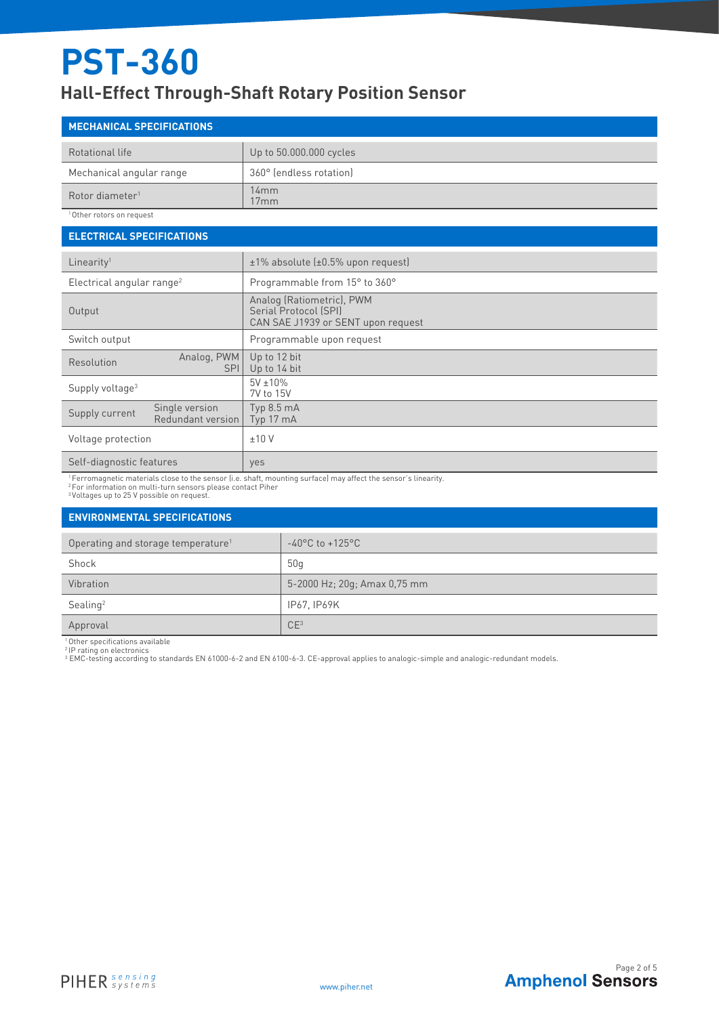### **Hall-Effect Through-Shaft Rotary Position Sensor**

| <b>MECHANICAL SPECIFICATIONS</b> |                         |  |
|----------------------------------|-------------------------|--|
| Rotational life                  | Up to 50.000.000 cycles |  |
| Mechanical angular range         | 360° (endless rotation) |  |
| Rotor diameter <sup>1</sup>      | 14mm<br>17mm            |  |

10ther rotors on request

| <b>ELECTRICAL SPECIFICATIONS</b>                      |                                                                                          |  |  |  |
|-------------------------------------------------------|------------------------------------------------------------------------------------------|--|--|--|
| Linearity <sup>1</sup>                                | $±1\%$ absolute ( $±0.5\%$ upon request)                                                 |  |  |  |
| Electrical angular range <sup>2</sup>                 | Programmable from 15° to 360°                                                            |  |  |  |
| Output                                                | Analog (Ratiometric), PWM<br>Serial Protocol (SPI)<br>CAN SAE J1939 or SENT upon request |  |  |  |
| Switch output                                         | Programmable upon request                                                                |  |  |  |
| Analog, PWM<br>Resolution<br><b>SPI</b>               | Up to 12 bit<br>Up to 14 bit                                                             |  |  |  |
| Supply voltage <sup>3</sup>                           | $5V \pm 10\%$<br>7V to 15V                                                               |  |  |  |
| Single version<br>Supply current<br>Redundant version | Typ 8.5 mA<br>Typ 17 mA                                                                  |  |  |  |
| Voltage protection                                    | ±10V                                                                                     |  |  |  |
| Self-diagnostic features                              | yes                                                                                      |  |  |  |

' Ferromagnetic materials close to the sensor (i.e. shaft, mounting surface) may affect the sensor's linearity.<br>? For information on multi-turn sensors please contact Piher<br><sup>3</sup>Voltages up to 25 V possible on request.

### **ENVIRONMENTAL SPECIFICATIONS**

| Operating and storage temperature <sup>1</sup> | $-40^{\circ}$ C to $+125^{\circ}$ C |
|------------------------------------------------|-------------------------------------|
| Shock                                          | 50 q                                |
| Vibration                                      | 5-2000 Hz; 20g; Amax 0,75 mm        |
| Sealing <sup>2</sup>                           | IP67. IP69K                         |
| Approval                                       | CE <sup>3</sup>                     |

<sup>1</sup>Other specifications available

2 IP rating on electronics <sup>3</sup> EMC-testing according to standards EN 61000-6-2 and EN 6100-6-3. CE-approval applies to analogic-simple and analogic-redundant models.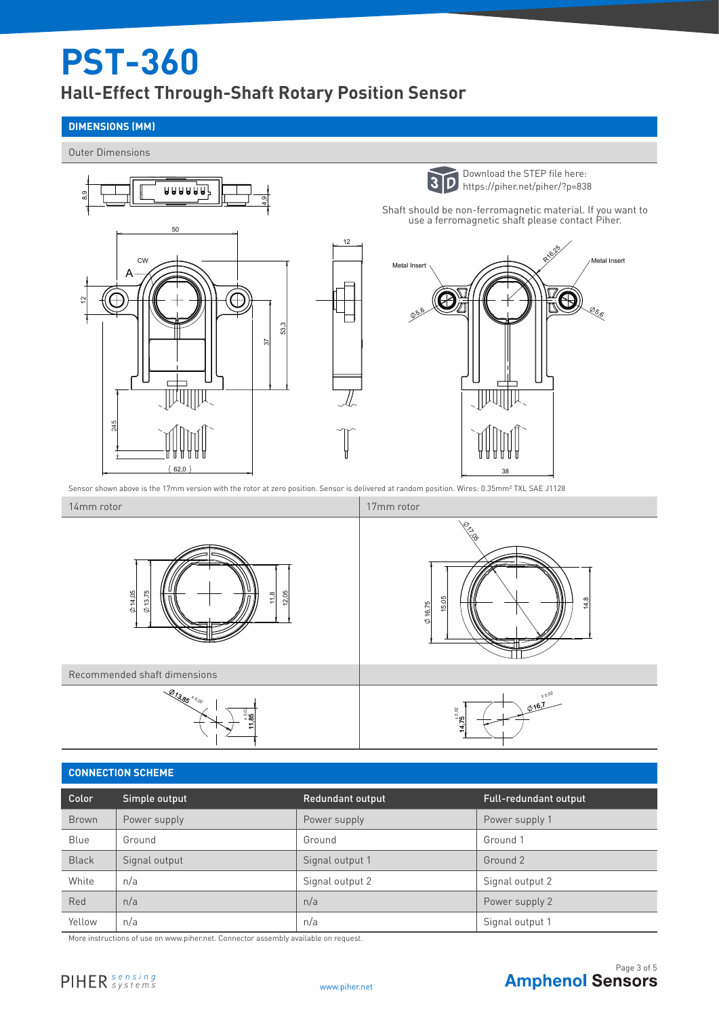### **Hall-Effect Through-Shaft Rotary Position Sensor**

### **DIMENSIONS (MM)**

Outer Dimensions



### **CONNECTION SCHEME**

| Color        | Simple output | <b>Redundant output</b> | <b>Full-redundant output</b> |
|--------------|---------------|-------------------------|------------------------------|
| <b>Brown</b> | Power supply  | Power supply            | Power supply 1               |
| Blue         | Ground        | Ground                  | Ground 1                     |
| <b>Black</b> | Signal output | Signal output 1         | Ground 2                     |
| White        | n/a           | Signal output 2         | Signal output 2              |
| Red          | n/a           | n/a                     | Power supply 2               |
| Yellow       | n/a           | n/a                     | Signal output 1              |

More instructions of use on www.piher.net. Connector assembly available on request.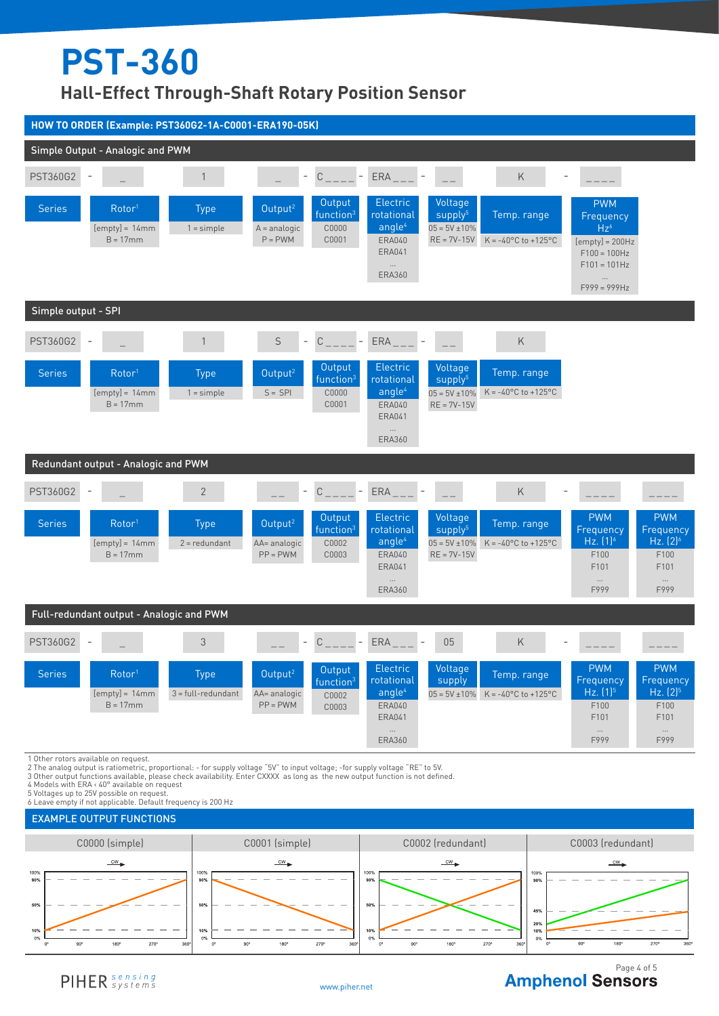**Hall-Effect Through-Shaft Rotary Position Sensor**



2 The analog output is ratiometric, proportional: - for supply voltage "5V" to input voltage; -for supply voltage "RE" to 5V.<br>3 Other output functions available, please check availability. Enter CXXXX as long as the new

4 Models with ERA < 40° available on request

5 Voltages up to 25V possible on request.

6 Leave empty if not applicable. Default frequency is 200 Hz





## **Amphenol Sensors**